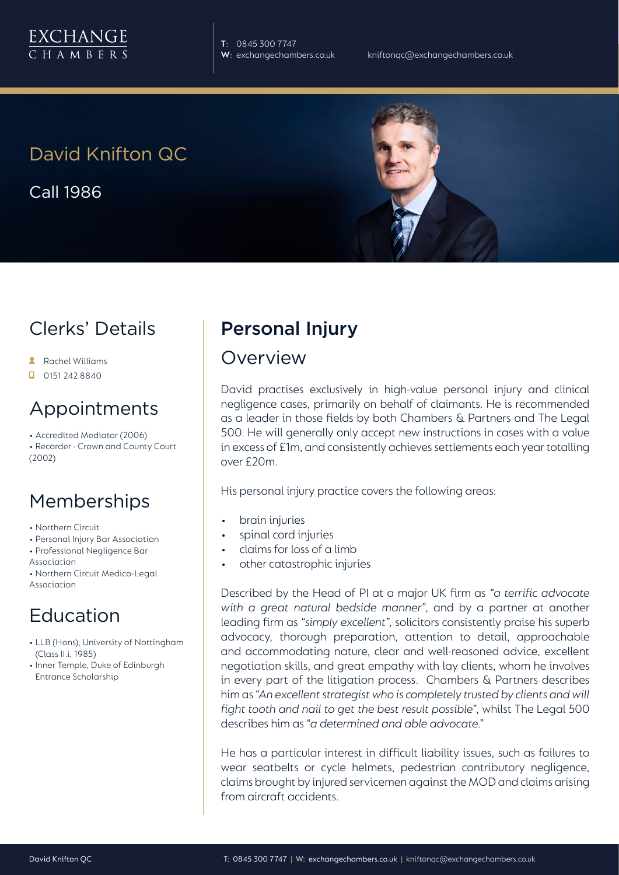

**T**: 0845 300 7747

# David Knifton QC

Call 1986



## Clerks' Details

- Rachel Williams
- 0151 242 8840

## Appointments

• Accredited Mediator (2006) • Recorder - Crown and County Court (2002)

### Memberships

- Northern Circuit
- Personal Injury Bar Association
- Professional Negligence Bar Association
- Northern Circuit Medico-Legal Association

## Education

- LLB (Hons), University of Nottingham (Class II.i, 1985)
- Inner Temple, Duke of Edinburgh Entrance Scholarship

## Personal Injury

### Overview

David practises exclusively in high-value personal injury and clinical negligence cases, primarily on behalf of claimants. He is recommended as a leader in those fields by both Chambers & Partners and The Legal 500. He will generally only accept new instructions in cases with a value in excess of £1m, and consistently achieves settlements each year totalling over £20m.

His personal injury practice covers the following areas:

- brain injuries
- spinal cord injuries
- claims for loss of a limb
- other catastrophic injuries

Described by the Head of PI at a major UK firm as *"a terrific advocate with a great natural bedside manner"*, and by a partner at another leading firm as *"simply excellent",* solicitors consistently praise his superb advocacy, thorough preparation, attention to detail, approachable and accommodating nature, clear and well-reasoned advice, excellent negotiation skills, and great empathy with lay clients, whom he involves in every part of the litigation process. Chambers & Partners describes him as "*An excellent strategist who is completely trusted by clients and will fight tooth and nail to get the best result possible*", whilst The Legal 500 describes him as "*a determined and able advocate*."

He has a particular interest in difficult liability issues, such as failures to wear seatbelts or cycle helmets, pedestrian contributory negligence, claims brought by injured servicemen against the MOD and claims arising from aircraft accidents.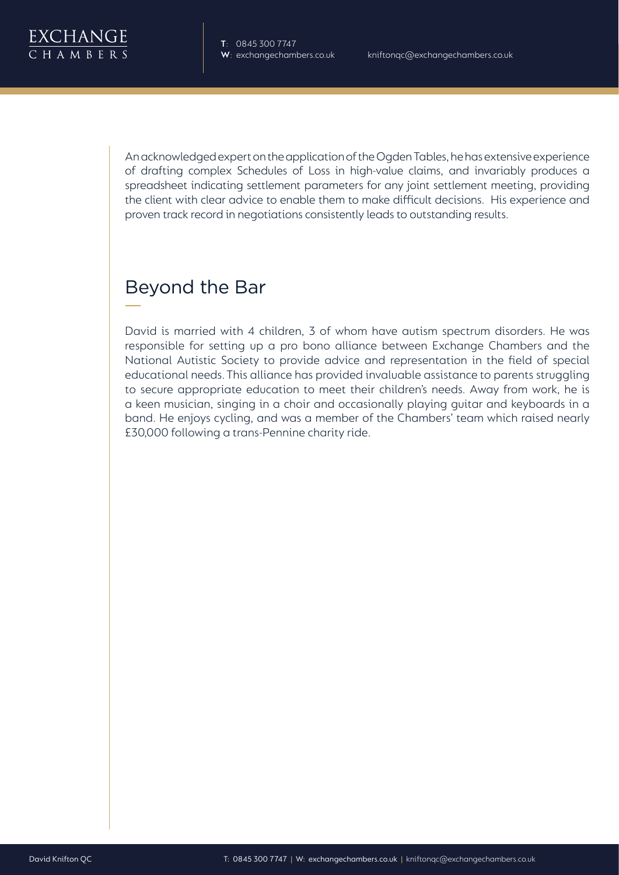An acknowledged expert on the application of the Ogden Tables, he has extensive experience of drafting complex Schedules of Loss in high-value claims, and invariably produces a spreadsheet indicating settlement parameters for any joint settlement meeting, providing the client with clear advice to enable them to make difficult decisions. His experience and proven track record in negotiations consistently leads to outstanding results.

## Beyond the Bar

David is married with 4 children, 3 of whom have autism spectrum disorders. He was responsible for setting up a pro bono alliance between Exchange Chambers and the National Autistic Society to provide advice and representation in the field of special educational needs. This alliance has provided invaluable assistance to parents struggling to secure appropriate education to meet their children's needs. Away from work, he is a keen musician, singing in a choir and occasionally playing guitar and keyboards in a band. He enjoys cycling, and was a member of the Chambers' team which raised nearly £30,000 following a trans-Pennine charity ride.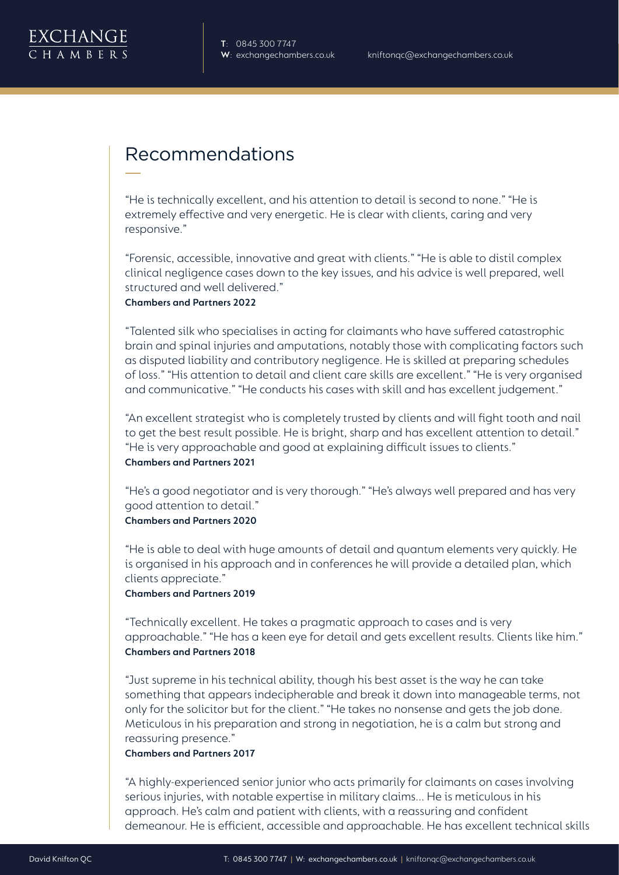## Recommendations

"He is technically excellent, and his attention to detail is second to none." "He is extremely effective and very energetic. He is clear with clients, caring and very responsive."

"Forensic, accessible, innovative and great with clients." "He is able to distil complex clinical negligence cases down to the key issues, and his advice is well prepared, well structured and well delivered."

#### **Chambers and Partners 2022**

"Talented silk who specialises in acting for claimants who have suffered catastrophic brain and spinal injuries and amputations, notably those with complicating factors such as disputed liability and contributory negligence. He is skilled at preparing schedules of loss." "His attention to detail and client care skills are excellent." "He is very organised and communicative." "He conducts his cases with skill and has excellent judgement."

"An excellent strategist who is completely trusted by clients and will fight tooth and nail to get the best result possible. He is bright, sharp and has excellent attention to detail." "He is very approachable and good at explaining difficult issues to clients."

### **Chambers and Partners 2021**

"He's a good negotiator and is very thorough." "He's always well prepared and has very good attention to detail."

#### **Chambers and Partners 2020**

"He is able to deal with huge amounts of detail and quantum elements very quickly. He is organised in his approach and in conferences he will provide a detailed plan, which clients appreciate."

#### **Chambers and Partners 2019**

"Technically excellent. He takes a pragmatic approach to cases and is very approachable." "He has a keen eye for detail and gets excellent results. Clients like him." **Chambers and Partners 2018**

"Just supreme in his technical ability, though his best asset is the way he can take something that appears indecipherable and break it down into manageable terms, not only for the solicitor but for the client." "He takes no nonsense and gets the job done. Meticulous in his preparation and strong in negotiation, he is a calm but strong and reassuring presence."

#### **Chambers and Partners 2017**

"A highly-experienced senior junior who acts primarily for claimants on cases involving serious injuries, with notable expertise in military claims... He is meticulous in his approach. He's calm and patient with clients, with a reassuring and confident demeanour. He is efficient, accessible and approachable. He has excellent technical skills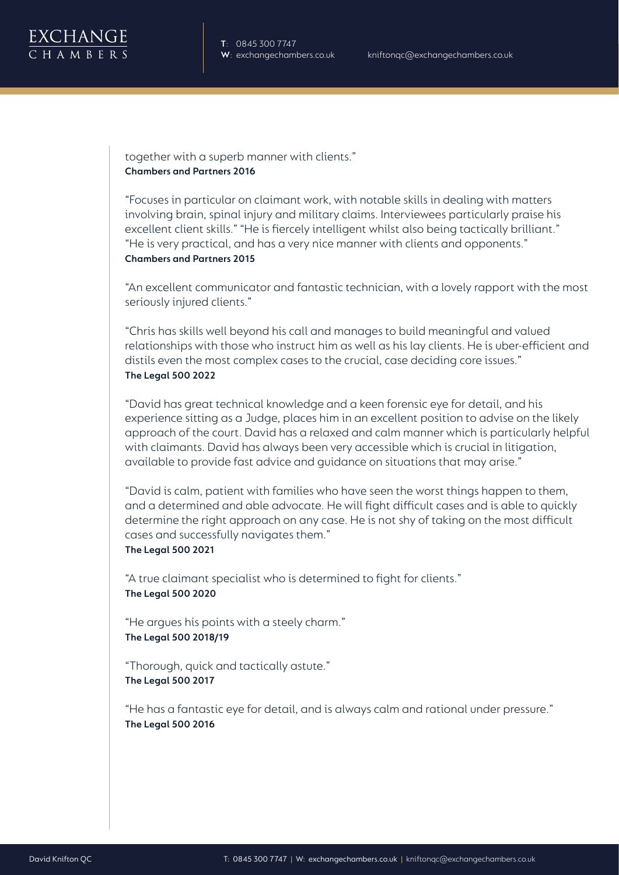

together with a superb manner with clients." **Chambers and Partners 2016**

"Focuses in particular on claimant work, with notable skills in dealing with matters involving brain, spinal injury and military claims. Interviewees particularly praise his excellent client skills." "He is fiercely intelligent whilst also being tactically brilliant." "He is very practical, and has a very nice manner with clients and opponents." **Chambers and Partners 2015**

"An excellent communicator and fantastic technician, with a lovely rapport with the most seriously injured clients."

"Chris has skills well beyond his call and manages to build meaningful and valued relationships with those who instruct him as well as his lay clients. He is uber-efficient and distils even the most complex cases to the crucial, case deciding core issues." **The Legal 500 2022**

"David has great technical knowledge and a keen forensic eye for detail, and his experience sitting as a Judge, places him in an excellent position to advise on the likely approach of the court. David has a relaxed and calm manner which is particularly helpful with claimants. David has always been very accessible which is crucial in litigation, available to provide fast advice and guidance on situations that may arise."

"David is calm, patient with families who have seen the worst things happen to them, and a determined and able advocate. He will fight difficult cases and is able to quickly determine the right approach on any case. He is not shy of taking on the most difficult cases and successfully navigates them."

#### **The Legal 500 2021**

"A true claimant specialist who is determined to fight for clients." **The Legal 500 2020**

"He argues his points with a steely charm." **The Legal 500 2018/19**

"Thorough, quick and tactically astute." **The Legal 500 2017**

"He has a fantastic eye for detail, and is always calm and rational under pressure." **The Legal 500 2016**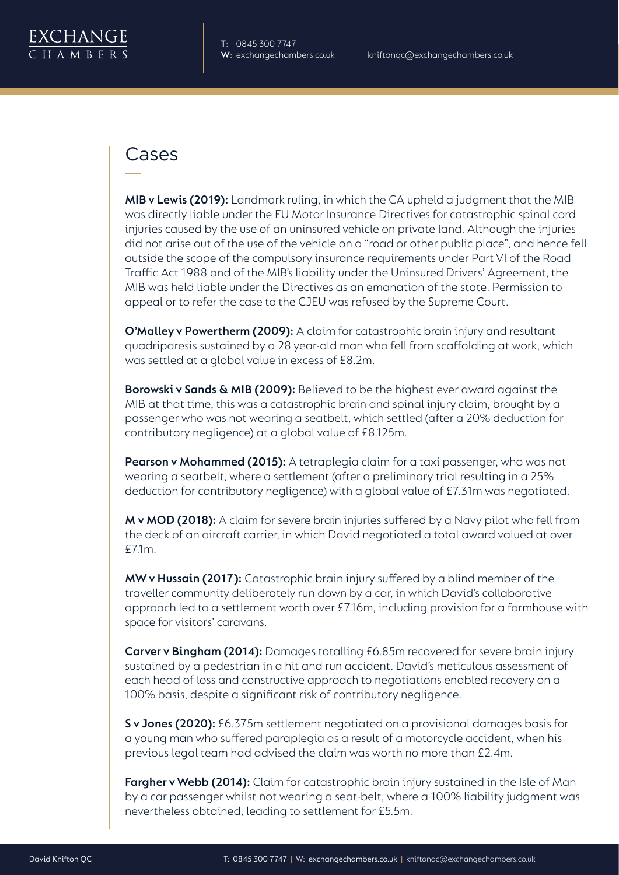

## Cases

**MIB v Lewis (2019):** Landmark ruling, in which the CA upheld a judgment that the MIB was directly liable under the EU Motor Insurance Directives for catastrophic spinal cord injuries caused by the use of an uninsured vehicle on private land. Although the injuries did not arise out of the use of the vehicle on a "road or other public place", and hence fell outside the scope of the compulsory insurance requirements under Part VI of the Road Traffic Act 1988 and of the MIB's liability under the Uninsured Drivers' Agreement, the MIB was held liable under the Directives as an emanation of the state. Permission to appeal or to refer the case to the CJEU was refused by the Supreme Court.

**O'Malley v Powertherm (2009):** A claim for catastrophic brain injury and resultant quadriparesis sustained by a 28 year-old man who fell from scaffolding at work, which was settled at a global value in excess of £8.2m.

**Borowski v Sands & MIB (2009):** Believed to be the highest ever award against the MIB at that time, this was a catastrophic brain and spinal injury claim, brought by a passenger who was not wearing a seatbelt, which settled (after a 20% deduction for contributory negligence) at a global value of £8.125m.

**Pearson v Mohammed (2015):** A tetraplegia claim for a taxi passenger, who was not wearing a seatbelt, where a settlement (after a preliminary trial resulting in a 25% deduction for contributory negligence) with a global value of £7.31m was negotiated.

**M v MOD (2018):** A claim for severe brain injuries suffered by a Navy pilot who fell from the deck of an aircraft carrier, in which David negotiated a total award valued at over £7.1m.

**MW v Hussain (2017):** Catastrophic brain injury suffered by a blind member of the traveller community deliberately run down by a car, in which David's collaborative approach led to a settlement worth over £7.16m, including provision for a farmhouse with space for visitors' caravans.

**Carver v Bingham (2014):** Damages totalling £6.85m recovered for severe brain injury sustained by a pedestrian in a hit and run accident. David's meticulous assessment of each head of loss and constructive approach to negotiations enabled recovery on a 100% basis, despite a significant risk of contributory negligence.

**S v Jones (2020):** £6.375m settlement negotiated on a provisional damages basis for a young man who suffered paraplegia as a result of a motorcycle accident, when his previous legal team had advised the claim was worth no more than £2.4m.

Fargher v Webb (2014): Claim for catastrophic brain injury sustained in the Isle of Man by a car passenger whilst not wearing a seat-belt, where a 100% liability judgment was nevertheless obtained, leading to settlement for £5.5m.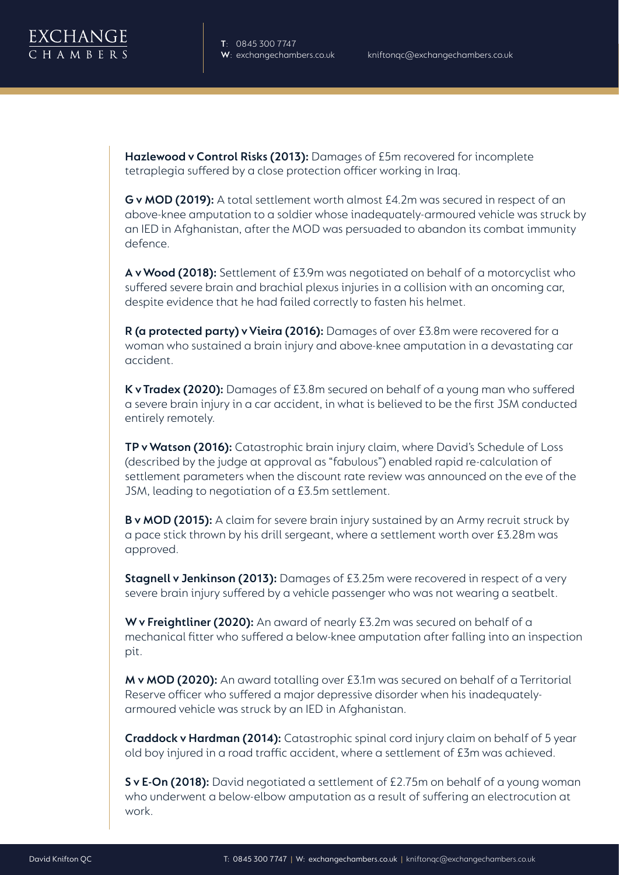

**Hazlewood v Control Risks (2013):** Damages of £5m recovered for incomplete tetraplegia suffered by a close protection officer working in Iraq.

**G v MOD (2019):** A total settlement worth almost £4.2m was secured in respect of an above-knee amputation to a soldier whose inadequately-armoured vehicle was struck by an IED in Afghanistan, after the MOD was persuaded to abandon its combat immunity defence.

**A v Wood (2018):** Settlement of £3.9m was negotiated on behalf of a motorcyclist who suffered severe brain and brachial plexus injuries in a collision with an oncoming car, despite evidence that he had failed correctly to fasten his helmet.

**R (a protected party) v Vieira (2016):** Damages of over £3.8m were recovered for a woman who sustained a brain injury and above-knee amputation in a devastating car accident.

**K v Tradex (2020):** Damages of £3.8m secured on behalf of a young man who suffered a severe brain injury in a car accident, in what is believed to be the first JSM conducted entirely remotely.

**TP v Watson (2016):** Catastrophic brain injury claim, where David's Schedule of Loss (described by the judge at approval as "fabulous") enabled rapid re-calculation of settlement parameters when the discount rate review was announced on the eve of the JSM, leading to negotiation of a £3.5m settlement.

**B v MOD (2015):** A claim for severe brain injury sustained by an Army recruit struck by a pace stick thrown by his drill sergeant, where a settlement worth over £3.28m was approved.

**Stagnell v Jenkinson (2013):** Damages of £3.25m were recovered in respect of a very severe brain injury suffered by a vehicle passenger who was not wearing a seatbelt.

**W v Freightliner (2020):** An award of nearly £3.2m was secured on behalf of a mechanical fitter who suffered a below-knee amputation after falling into an inspection pit.

**M v MOD (2020):** An award totalling over £3.1m was secured on behalf of a Territorial Reserve officer who suffered a major depressive disorder when his inadequatelyarmoured vehicle was struck by an IED in Afghanistan.

**Craddock v Hardman (2014):** Catastrophic spinal cord injury claim on behalf of 5 year old boy injured in a road traffic accident, where a settlement of £3m was achieved.

**S v E-On (2018):** David negotiated a settlement of £2.75m on behalf of a young woman who underwent a below-elbow amputation as a result of suffering an electrocution at work.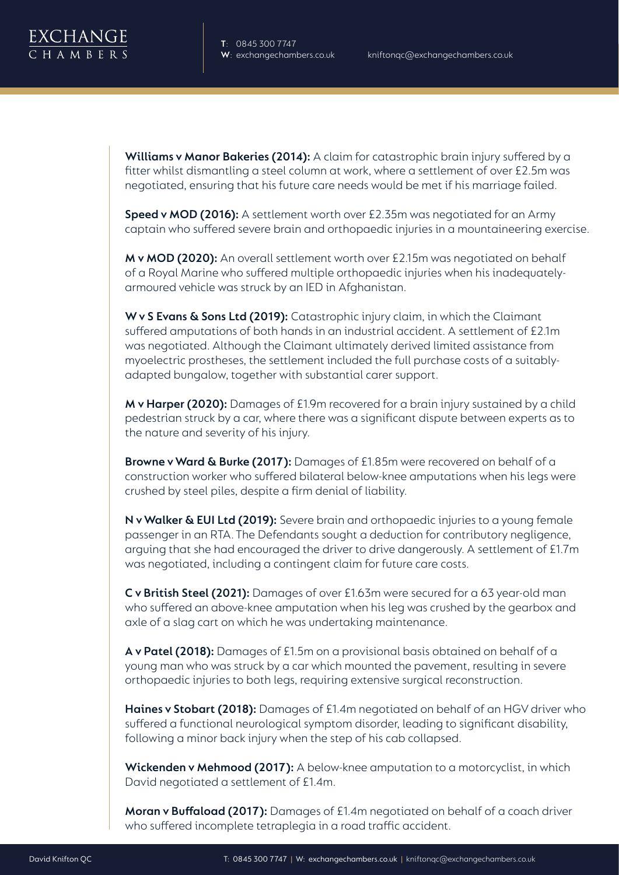

**Williams v Manor Bakeries (2014):** A claim for catastrophic brain injury suffered by a fitter whilst dismantling a steel column at work, where a settlement of over £2.5m was negotiated, ensuring that his future care needs would be met if his marriage failed.

**Speed v MOD (2016):** A settlement worth over £2.35m was negotiated for an Army captain who suffered severe brain and orthopaedic injuries in a mountaineering exercise.

**M v MOD (2020):** An overall settlement worth over £2.15m was negotiated on behalf of a Royal Marine who suffered multiple orthopaedic injuries when his inadequatelyarmoured vehicle was struck by an IED in Afghanistan.

**W v S Evans & Sons Ltd (2019):** Catastrophic injury claim, in which the Claimant suffered amputations of both hands in an industrial accident. A settlement of £2.1m was negotiated. Although the Claimant ultimately derived limited assistance from myoelectric prostheses, the settlement included the full purchase costs of a suitablyadapted bungalow, together with substantial carer support.

**M v Harper (2020):** Damages of £1.9m recovered for a brain injury sustained by a child pedestrian struck by a car, where there was a significant dispute between experts as to the nature and severity of his injury.

**Browne v Ward & Burke (2017):** Damages of £1.85m were recovered on behalf of a construction worker who suffered bilateral below-knee amputations when his legs were crushed by steel piles, despite a firm denial of liability.

**N v Walker & EUI Ltd (2019):** Severe brain and orthopaedic injuries to a young female passenger in an RTA. The Defendants sought a deduction for contributory negligence, arguing that she had encouraged the driver to drive dangerously. A settlement of £1.7m was negotiated, including a contingent claim for future care costs.

**C v British Steel (2021):** Damages of over £1.63m were secured for a 63 year-old man who suffered an above-knee amputation when his leg was crushed by the gearbox and axle of a slag cart on which he was undertaking maintenance.

**A v Patel (2018):** Damages of £1.5m on a provisional basis obtained on behalf of a young man who was struck by a car which mounted the pavement, resulting in severe orthopaedic injuries to both legs, requiring extensive surgical reconstruction.

**Haines v Stobart (2018):** Damages of £1.4m negotiated on behalf of an HGV driver who suffered a functional neurological symptom disorder, leading to significant disability, following a minor back injury when the step of his cab collapsed.

**Wickenden v Mehmood (2017):** A below-knee amputation to a motorcyclist, in which David negotiated a settlement of £1.4m.

**Moran v Buffaload (2017):** Damages of £1.4m negotiated on behalf of a coach driver who suffered incomplete tetraplegia in a road traffic accident.